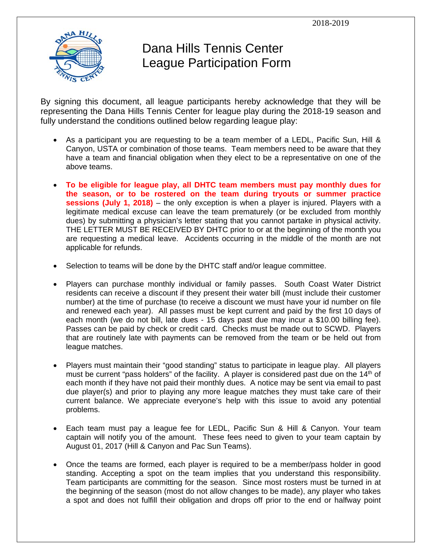

## Dana Hills Tennis Center League Participation Form

By signing this document, all league participants hereby acknowledge that they will be representing the Dana Hills Tennis Center for league play during the 2018-19 season and fully understand the conditions outlined below regarding league play:

- As a participant you are requesting to be a team member of a LEDL, Pacific Sun, Hill & Canyon, USTA or combination of those teams. Team members need to be aware that they have a team and financial obligation when they elect to be a representative on one of the above teams.
- **To be eligible for league play, all DHTC team members must pay monthly dues for the season, or to be rostered on the team during tryouts or summer practice sessions (July 1, 2018)** – the only exception is when a player is injured. Players with a legitimate medical excuse can leave the team prematurely (or be excluded from monthly dues) by submitting a physician's letter stating that you cannot partake in physical activity. THE LETTER MUST BE RECEIVED BY DHTC prior to or at the beginning of the month you are requesting a medical leave. Accidents occurring in the middle of the month are not applicable for refunds.
- Selection to teams will be done by the DHTC staff and/or league committee.
- Players can purchase monthly individual or family passes. South Coast Water District residents can receive a discount if they present their water bill (must include their customer number) at the time of purchase (to receive a discount we must have your id number on file and renewed each year). All passes must be kept current and paid by the first 10 days of each month (we do not bill, late dues - 15 days past due may incur a \$10.00 billing fee). Passes can be paid by check or credit card. Checks must be made out to SCWD. Players that are routinely late with payments can be removed from the team or be held out from league matches.
- Players must maintain their "good standing" status to participate in league play. All players must be current "pass holders" of the facility. A player is considered past due on the 14<sup>th</sup> of each month if they have not paid their monthly dues. A notice may be sent via email to past due player(s) and prior to playing any more league matches they must take care of their current balance. We appreciate everyone's help with this issue to avoid any potential problems.
- Each team must pay a league fee for LEDL, Pacific Sun & Hill & Canyon. Your team captain will notify you of the amount. These fees need to given to your team captain by August 01, 2017 (Hill & Canyon and Pac Sun Teams).
- Once the teams are formed, each player is required to be a member/pass holder in good standing. Accepting a spot on the team implies that you understand this responsibility. Team participants are committing for the season. Since most rosters must be turned in at the beginning of the season (most do not allow changes to be made), any player who takes a spot and does not fulfill their obligation and drops off prior to the end or halfway point